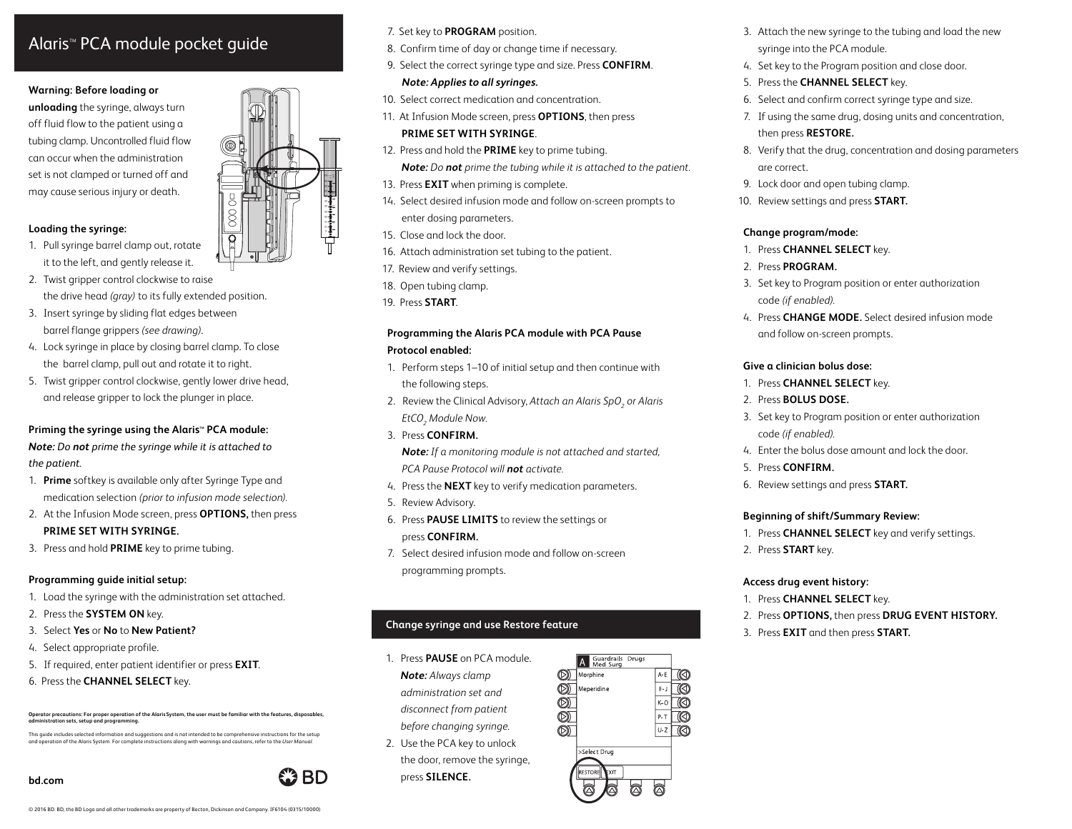# Alaris<sup>™</sup> PCA module pocket guide

#### **Warning: Before loading or**

**unloading** the syringe, always turn off fluid flow to the patient using a tubing clamp. Uncontrolled fluid flow can occur when the administration set is not clamped or turned off and may cause serious injury or death.

## **Loading the syringe:**

- 1. Pull syringe barrel clamp out, rotate it to the left, and gently release it.
- 2. Twist gripper control clockwise to raise the drive head *(gray)* to its fully extended position.
- 3. Insert syringe by sliding flat edges between barrel flange grippers *(see drawing)*.
- 4. Lock syringe in place by closing barrel clamp. To close the barrel clamp, pull out and rotate it to right.
- 5. Twist gripper control clockwise, gently lower drive head, and release gripper to lock the plunger in place.

## Priming the syringe using the Alaris<sup>®</sup> PCA module: *Note: Do not prime the syringe while it is attached to the patient.*

- 1. **Prime** softkey is available only after Syringe Type and medication selection *(prior to infusion mode selection).*
- 2. At the Infusion Mode screen, press **OPTIONS,** then press **PRIME SET WITH SYRINGE.**
- 3. Press and hold **PRIME** key to prime tubing.

## **Programming guide initial setup:**

- 1. Load the syringe with the administration set attached.
- 2. Press the **SYSTEM ON** key.
- 3. Select **Yes** or **No** to **New Patient?**
- 4. Select appropriate profile.
- 5. If required, enter patient identifier or press **EXIT**.
- 6. Press the **CHANNEL SELECT** key.

## **Operator precautions: For proper operation of the AlarisSystem, the user must be familiar with the features, disposables, administration sets, setup and programming.**

This guide includes selected information and suggestions and is not intended to be comprehensive instructions for the setup<br>and operation of the Alaris System. For complete instructions along with warnings and cautions, re

#### **bd.com**

60 oz

- 7. Set key to **PROGRAM** position.
- 8. Confirm time of day or change time if necessary.
- 9. Select the correct syringe type and size. Press **CONFIRM**. *Note: Applies to all syringes.*
	-
- 10. Select correct medication and concentration.
- 11. At Infusion Mode screen, press **OPTIONS**, then press **PRIME SET WITH SYRINGE**.
- 12. Press and hold the **PRIME** key to prime tubing.
	- *Note: Do not prime the tubing while it is attached to the patient.*
- 13. Press **EXIT** when priming is complete.
- 14. Select desired infusion mode and follow on-screen prompts to enter dosing parameters.
- 15. Close and lock the door.
- 16. Attach administration set tubing to the patient.
- 17. Review and verify settings.
- 18. Open tubing clamp.
- 19. Press **START**.

## **Programming the Alaris PCA module with PCA Pause Protocol enabled:**

- 1. Perform steps 1–10 of initial setup and then continue with the following steps.
- 2. Review the Clinical Advisory, Attach an Alaris SpO<sub>2</sub> or Alaris *EtCO2 Module Now.*
- 3. Press **CONFIRM.**

*Note: If a monitoring module is not attached and started, PCA Pause Protocol will not activate.*

- 4. Press the **NEXT** key to verify medication parameters.
- 5. Review Advisory.
- 6. Press **PAUSE LIMITS** to review the settings or press **CONFIRM.**
- 7. Select desired infusion mode and follow on-screen programming prompts.

## **Change syringe and use Restore feature**

- 1. Press **PAUSE** on PCA module. *Note: Always clamp administration set and disconnect from patient before changing syringe.*
- 2. Use the PCA key to unlock the door, remove the syringe, press **SILENCE.**
- 3. Attach the new syringe to the tubing and load the new syringe into the PCA module.
- 4. Set key to the Program position and close door.
- 5. Press the **CHANNEL SELECT** key.
- 6. Select and confirm correct syringe type and size.
- 7. If using the same drug, dosing units and concentration, then press **RESTORE.**
- 8. Verify that the drug, concentration and dosing parameters are correct.
- 9. Lock door and open tubing clamp.
- 0. Review settings and press **START.** 1

## **Change program/mode:**

- 1. Press **CHANNEL SELECT** key.
- 2. Press **PROGRAM.**
- 3. Set key to Program position or enter authorization code *(if enabled).*
- 4. Press **CHANGE MODE.** Select desired infusion mode and follow on-screen prompts.

## **Give a clinician bolus dose:**

- 1. Press **CHANNEL SELECT** key.
- 2. Press **BOLUS DOSE.**
- 3. Set key to Program position or enter authorization code *(if enabled).*
- 4. Enter the bolus dose amount and lock the door.
- 5. Press **CONFIRM.**
- 6. Review settings and press **START.**

## **Beginning of shift/Summary Review:**

- 1. Press **CHANNEL SELECT** key and verify settings.
- 2. Press **START** key.

## **Access drug event history:**

- 1. Press **CHANNEL SELECT** key.
- 2. Press **OPTIONS,** then press **DRUG EVENT HISTORY.**
- 3. Press **EXIT** and then press **START.**



 $A-E$ ℾҨ

 $\circledR$ 

A Guardrails Drugs

**OD** Morphine

**OD** Meperidine

BD